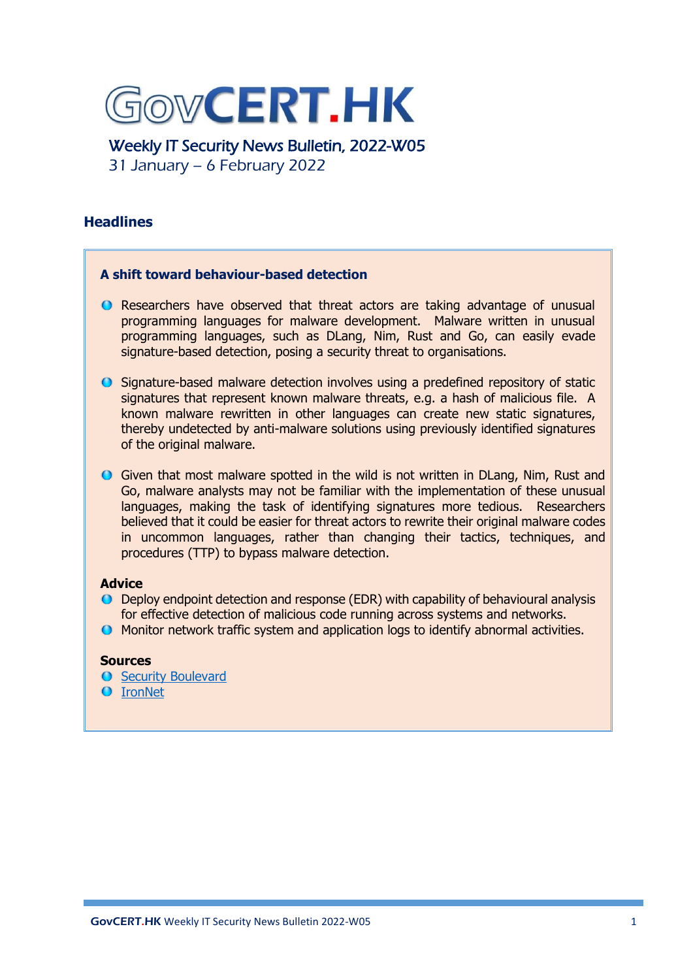

Weekly IT Security News Bulletin, 2022-W05 31 January – 6 February 2022

# **Headlines**

## **A shift toward behaviour-based detection**

- **C** Researchers have observed that threat actors are taking advantage of unusual programming languages for malware development. Malware written in unusual programming languages, such as DLang, Nim, Rust and Go, can easily evade signature-based detection, posing a security threat to organisations.
- Signature-based malware detection involves using a predefined repository of static signatures that represent known malware threats, e.g. a hash of malicious file. A known malware rewritten in other languages can create new static signatures, thereby undetected by anti-malware solutions using previously identified signatures of the original malware.
- G Given that most malware spotted in the wild is not written in DLang, Nim, Rust and Go, malware analysts may not be familiar with the implementation of these unusual languages, making the task of identifying signatures more tedious. Researchers believed that it could be easier for threat actors to rewrite their original malware codes in uncommon languages, rather than changing their tactics, techniques, and procedures (TTP) to bypass malware detection.

## **Advice**

- Deploy endpoint detection and response (EDR) with capability of behavioural analysis for effective detection of malicious code running across systems and networks.
- **O** Monitor network traffic system and application logs to identify abnormal activities.

### **Sources**

- **O** [Security Boulevard](https://securityboulevard.com/2022/02/the-need-for-behavior-based-detection-as-attackers-adopt-uncommon-coding-languages/)
- **O** [IronNet](https://www.ironnet.com/blog/a-shift-toward-behavior-based-detection-the-rise-of-uncommon-coding-languages-in-malware-development)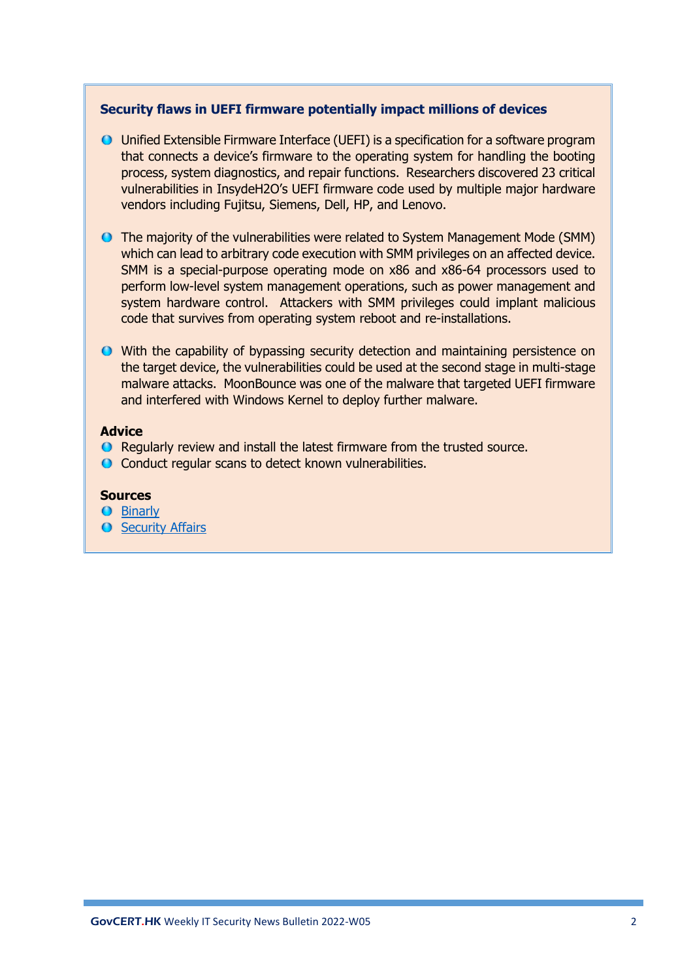## **Security flaws in UEFI firmware potentially impact millions of devices**

- Unified Extensible Firmware Interface (UEFI) is a specification for a software program that connects a device's firmware to the operating system for handling the booting process, system diagnostics, and repair functions. Researchers discovered 23 critical vulnerabilities in InsydeH2O's UEFI firmware code used by multiple major hardware vendors including Fujitsu, Siemens, Dell, HP, and Lenovo.
- The majority of the vulnerabilities were related to System Management Mode (SMM) which can lead to arbitrary code execution with SMM privileges on an affected device. SMM is a special-purpose operating mode on x86 and x86-64 processors used to perform low-level system management operations, such as power management and system hardware control. Attackers with SMM privileges could implant malicious code that survives from operating system reboot and re-installations.
- With the capability of bypassing security detection and maintaining persistence on the target device, the vulnerabilities could be used at the second stage in multi-stage malware attacks. MoonBounce was one of the malware that targeted UEFI firmware and interfered with Windows Kernel to deploy further malware.

### **Advice**

- **O** Regularly review and install the latest firmware from the trusted source.
- Conduct regular scans to detect known vulnerabilities.

## **Sources**

- **O** [Binarly](https://www.binarly.io/posts/An_In_Depth_Look_at_the_23_High_Impact_Vulnerabilities/index.html)
- **O** [Security](https://securityaffairs.co/wordpress/127506/breaking-news/uefi-firmware-vulnerabilities.html) Affairs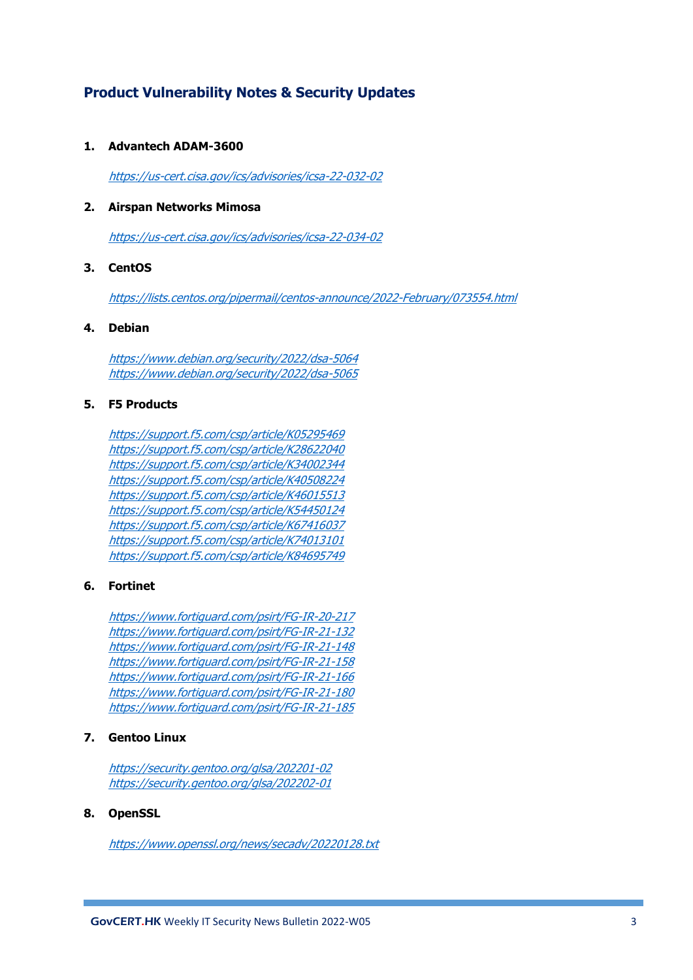# **Product Vulnerability Notes & Security Updates**

#### **1. Advantech ADAM-3600**

<https://us-cert.cisa.gov/ics/advisories/icsa-22-032-02>

#### **2. Airspan Networks Mimosa**

<https://us-cert.cisa.gov/ics/advisories/icsa-22-034-02>

#### **3. CentOS**

<https://lists.centos.org/pipermail/centos-announce/2022-February/073554.html>

#### **4. Debian**

<https://www.debian.org/security/2022/dsa-5064> <https://www.debian.org/security/2022/dsa-5065>

#### **5. F5 Products**

<https://support.f5.com/csp/article/K05295469> <https://support.f5.com/csp/article/K28622040> <https://support.f5.com/csp/article/K34002344> <https://support.f5.com/csp/article/K40508224> <https://support.f5.com/csp/article/K46015513> <https://support.f5.com/csp/article/K54450124> <https://support.f5.com/csp/article/K67416037> <https://support.f5.com/csp/article/K74013101> <https://support.f5.com/csp/article/K84695749>

#### **6. Fortinet**

<https://www.fortiguard.com/psirt/FG-IR-20-217> <https://www.fortiguard.com/psirt/FG-IR-21-132> <https://www.fortiguard.com/psirt/FG-IR-21-148> <https://www.fortiguard.com/psirt/FG-IR-21-158> <https://www.fortiguard.com/psirt/FG-IR-21-166> <https://www.fortiguard.com/psirt/FG-IR-21-180> <https://www.fortiguard.com/psirt/FG-IR-21-185>

#### **7. Gentoo Linux**

<https://security.gentoo.org/glsa/202201-02> <https://security.gentoo.org/glsa/202202-01>

#### **8. OpenSSL**

<https://www.openssl.org/news/secadv/20220128.txt>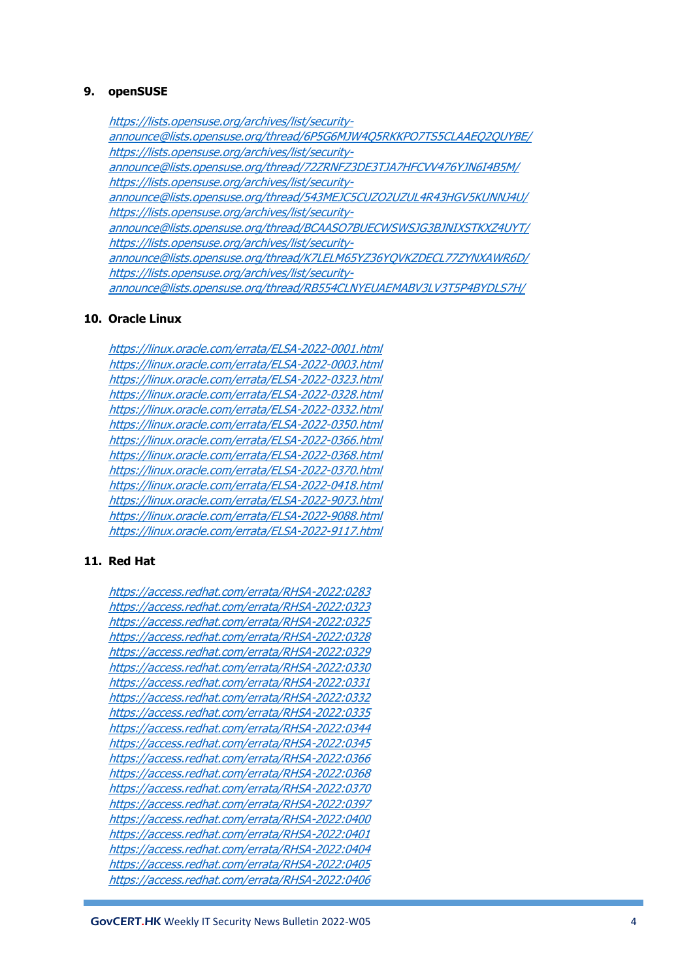#### **9. openSUSE**

[https://lists.opensuse.org/archives/list/security](https://lists.opensuse.org/archives/list/security-announce@lists.opensuse.org/thread/6P5G6MJW4Q5RKKPO7TS5CLAAEQ2QUYBE/)[announce@lists.opensuse.org/thread/6P5G6MJW4Q5RKKPO7TS5CLAAEQ2QUYBE/](https://lists.opensuse.org/archives/list/security-announce@lists.opensuse.org/thread/6P5G6MJW4Q5RKKPO7TS5CLAAEQ2QUYBE/) [https://lists.opensuse.org/archives/list/security](https://lists.opensuse.org/archives/list/security-announce@lists.opensuse.org/thread/72ZRNFZ3DE3TJA7HFCVV476YJN6I4B5M/)[announce@lists.opensuse.org/thread/72ZRNFZ3DE3TJA7HFCVV476YJN6I4B5M/](https://lists.opensuse.org/archives/list/security-announce@lists.opensuse.org/thread/72ZRNFZ3DE3TJA7HFCVV476YJN6I4B5M/) [https://lists.opensuse.org/archives/list/security](https://lists.opensuse.org/archives/list/security-announce@lists.opensuse.org/thread/543MEJC5CUZO2UZUL4R43HGV5KUNNJ4U/)[announce@lists.opensuse.org/thread/543MEJC5CUZO2UZUL4R43HGV5KUNNJ4U/](https://lists.opensuse.org/archives/list/security-announce@lists.opensuse.org/thread/543MEJC5CUZO2UZUL4R43HGV5KUNNJ4U/) [https://lists.opensuse.org/archives/list/security](https://lists.opensuse.org/archives/list/security-announce@lists.opensuse.org/thread/BCAASO7BUECWSWSJG3BJNIXSTKXZ4UYT/)[announce@lists.opensuse.org/thread/BCAASO7BUECWSWSJG3BJNIXSTKXZ4UYT/](https://lists.opensuse.org/archives/list/security-announce@lists.opensuse.org/thread/BCAASO7BUECWSWSJG3BJNIXSTKXZ4UYT/) [https://lists.opensuse.org/archives/list/security](https://lists.opensuse.org/archives/list/security-announce@lists.opensuse.org/thread/K7LELM65YZ36YQVKZDECL77ZYNXAWR6D/)[announce@lists.opensuse.org/thread/K7LELM65YZ36YQVKZDECL77ZYNXAWR6D/](https://lists.opensuse.org/archives/list/security-announce@lists.opensuse.org/thread/K7LELM65YZ36YQVKZDECL77ZYNXAWR6D/) [https://lists.opensuse.org/archives/list/security](https://lists.opensuse.org/archives/list/security-announce@lists.opensuse.org/thread/RB554CLNYEUAEMABV3LV3T5P4BYDLS7H/)[announce@lists.opensuse.org/thread/RB554CLNYEUAEMABV3LV3T5P4BYDLS7H/](https://lists.opensuse.org/archives/list/security-announce@lists.opensuse.org/thread/RB554CLNYEUAEMABV3LV3T5P4BYDLS7H/)

### **10. Oracle Linux**

<https://linux.oracle.com/errata/ELSA-2022-0001.html> <https://linux.oracle.com/errata/ELSA-2022-0003.html> <https://linux.oracle.com/errata/ELSA-2022-0323.html> <https://linux.oracle.com/errata/ELSA-2022-0328.html> <https://linux.oracle.com/errata/ELSA-2022-0332.html> <https://linux.oracle.com/errata/ELSA-2022-0350.html> <https://linux.oracle.com/errata/ELSA-2022-0366.html> <https://linux.oracle.com/errata/ELSA-2022-0368.html> <https://linux.oracle.com/errata/ELSA-2022-0370.html> <https://linux.oracle.com/errata/ELSA-2022-0418.html> <https://linux.oracle.com/errata/ELSA-2022-9073.html> <https://linux.oracle.com/errata/ELSA-2022-9088.html> <https://linux.oracle.com/errata/ELSA-2022-9117.html>

#### **11. Red Hat**

<https://access.redhat.com/errata/RHSA-2022:0283> <https://access.redhat.com/errata/RHSA-2022:0323> <https://access.redhat.com/errata/RHSA-2022:0325> <https://access.redhat.com/errata/RHSA-2022:0328> <https://access.redhat.com/errata/RHSA-2022:0329> <https://access.redhat.com/errata/RHSA-2022:0330> <https://access.redhat.com/errata/RHSA-2022:0331> <https://access.redhat.com/errata/RHSA-2022:0332> <https://access.redhat.com/errata/RHSA-2022:0335> <https://access.redhat.com/errata/RHSA-2022:0344> <https://access.redhat.com/errata/RHSA-2022:0345> <https://access.redhat.com/errata/RHSA-2022:0366> <https://access.redhat.com/errata/RHSA-2022:0368> <https://access.redhat.com/errata/RHSA-2022:0370> <https://access.redhat.com/errata/RHSA-2022:0397> <https://access.redhat.com/errata/RHSA-2022:0400> <https://access.redhat.com/errata/RHSA-2022:0401> <https://access.redhat.com/errata/RHSA-2022:0404> <https://access.redhat.com/errata/RHSA-2022:0405> <https://access.redhat.com/errata/RHSA-2022:0406>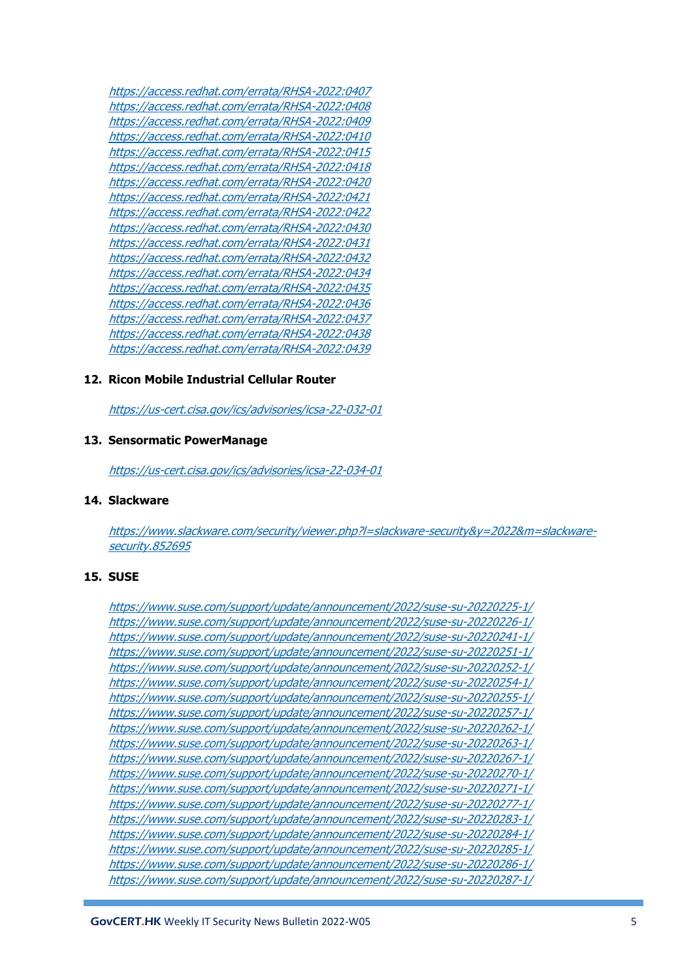<https://access.redhat.com/errata/RHSA-2022:0407> <https://access.redhat.com/errata/RHSA-2022:0408> <https://access.redhat.com/errata/RHSA-2022:0409> <https://access.redhat.com/errata/RHSA-2022:0410> <https://access.redhat.com/errata/RHSA-2022:0415> <https://access.redhat.com/errata/RHSA-2022:0418> <https://access.redhat.com/errata/RHSA-2022:0420> <https://access.redhat.com/errata/RHSA-2022:0421> <https://access.redhat.com/errata/RHSA-2022:0422> <https://access.redhat.com/errata/RHSA-2022:0430> <https://access.redhat.com/errata/RHSA-2022:0431> <https://access.redhat.com/errata/RHSA-2022:0432> <https://access.redhat.com/errata/RHSA-2022:0434> <https://access.redhat.com/errata/RHSA-2022:0435> <https://access.redhat.com/errata/RHSA-2022:0436> <https://access.redhat.com/errata/RHSA-2022:0437> <https://access.redhat.com/errata/RHSA-2022:0438> <https://access.redhat.com/errata/RHSA-2022:0439>

#### **12. Ricon Mobile Industrial Cellular Router**

<https://us-cert.cisa.gov/ics/advisories/icsa-22-032-01>

#### **13. Sensormatic PowerManage**

<https://us-cert.cisa.gov/ics/advisories/icsa-22-034-01>

#### **14. Slackware**

[https://www.slackware.com/security/viewer.php?l=slackware-security&y=2022&m=slackware](https://www.slackware.com/security/viewer.php?l=slackware-security&y=2022&m=slackware-security.852695)[security.852695](https://www.slackware.com/security/viewer.php?l=slackware-security&y=2022&m=slackware-security.852695)

#### **15. SUSE**

```
https://www.suse.com/support/update/announcement/2022/suse-su-20220225-1/
https://www.suse.com/support/update/announcement/2022/suse-su-20220226-1/
https://www.suse.com/support/update/announcement/2022/suse-su-20220241-1/
https://www.suse.com/support/update/announcement/2022/suse-su-20220251-1/
https://www.suse.com/support/update/announcement/2022/suse-su-20220252-1/
https://www.suse.com/support/update/announcement/2022/suse-su-20220254-1/
https://www.suse.com/support/update/announcement/2022/suse-su-20220255-1/
https://www.suse.com/support/update/announcement/2022/suse-su-20220257-1/
https://www.suse.com/support/update/announcement/2022/suse-su-20220262-1/
https://www.suse.com/support/update/announcement/2022/suse-su-20220263-1/
https://www.suse.com/support/update/announcement/2022/suse-su-20220267-1/
https://www.suse.com/support/update/announcement/2022/suse-su-20220270-1/
https://www.suse.com/support/update/announcement/2022/suse-su-20220271-1/
https://www.suse.com/support/update/announcement/2022/suse-su-20220277-1/
https://www.suse.com/support/update/announcement/2022/suse-su-20220283-1/
https://www.suse.com/support/update/announcement/2022/suse-su-20220284-1/
https://www.suse.com/support/update/announcement/2022/suse-su-20220285-1/
https://www.suse.com/support/update/announcement/2022/suse-su-20220286-1/
https://www.suse.com/support/update/announcement/2022/suse-su-20220287-1/
```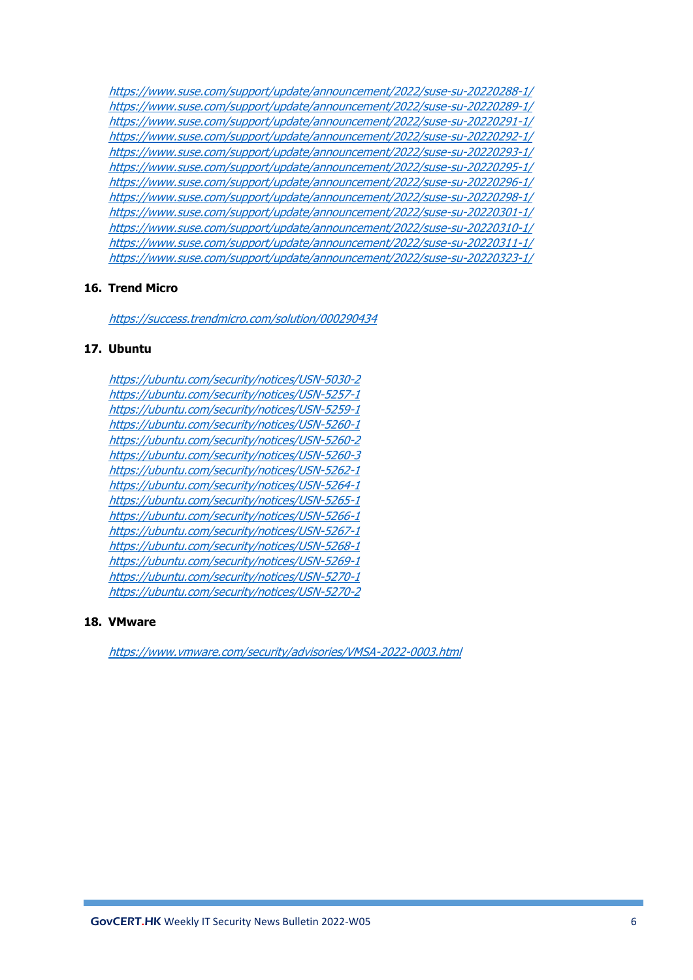<https://www.suse.com/support/update/announcement/2022/suse-su-20220288-1/> <https://www.suse.com/support/update/announcement/2022/suse-su-20220289-1/> <https://www.suse.com/support/update/announcement/2022/suse-su-20220291-1/> <https://www.suse.com/support/update/announcement/2022/suse-su-20220292-1/> <https://www.suse.com/support/update/announcement/2022/suse-su-20220293-1/> <https://www.suse.com/support/update/announcement/2022/suse-su-20220295-1/> <https://www.suse.com/support/update/announcement/2022/suse-su-20220296-1/> <https://www.suse.com/support/update/announcement/2022/suse-su-20220298-1/> <https://www.suse.com/support/update/announcement/2022/suse-su-20220301-1/> <https://www.suse.com/support/update/announcement/2022/suse-su-20220310-1/> <https://www.suse.com/support/update/announcement/2022/suse-su-20220311-1/> <https://www.suse.com/support/update/announcement/2022/suse-su-20220323-1/>

#### **16. Trend Micro**

<https://success.trendmicro.com/solution/000290434>

#### **17. Ubuntu**

<https://ubuntu.com/security/notices/USN-5030-2> <https://ubuntu.com/security/notices/USN-5257-1> <https://ubuntu.com/security/notices/USN-5259-1> <https://ubuntu.com/security/notices/USN-5260-1> <https://ubuntu.com/security/notices/USN-5260-2> <https://ubuntu.com/security/notices/USN-5260-3> <https://ubuntu.com/security/notices/USN-5262-1> <https://ubuntu.com/security/notices/USN-5264-1> <https://ubuntu.com/security/notices/USN-5265-1> <https://ubuntu.com/security/notices/USN-5266-1> <https://ubuntu.com/security/notices/USN-5267-1> <https://ubuntu.com/security/notices/USN-5268-1> <https://ubuntu.com/security/notices/USN-5269-1> <https://ubuntu.com/security/notices/USN-5270-1> <https://ubuntu.com/security/notices/USN-5270-2>

### **18. VMware**

<https://www.vmware.com/security/advisories/VMSA-2022-0003.html>